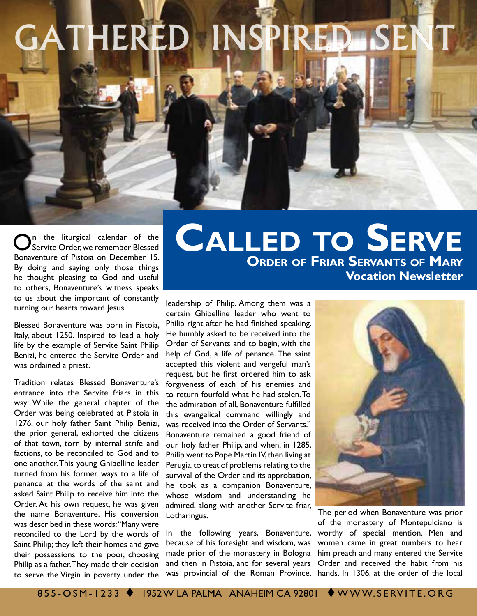## GATHERED INSPIRED SEI

On the liturgical calendar of the Servite Order, we remember Blessed Bonaventure of Pistoia on December 15. By doing and saying only those things he thought pleasing to God and useful to others, Bonaventure's witness speaks to us about the important of constantly turning our hearts toward Jesus.

Blessed Bonaventure was born in Pistoia, Italy, about 1250. Inspired to lead a holy life by the example of Servite Saint Philip Benizi, he entered the Servite Order and was ordained a priest.

Tradition relates Blessed Bonaventure's entrance into the Servite friars in this way: While the general chapter of the Order was being celebrated at Pistoia in 1276, our holy father Saint Philip Benizi, the prior general, exhorted the citizens of that town, torn by internal strife and factions, to be reconciled to God and to one another. This young Ghibelline leader turned from his former ways to a life of penance at the words of the saint and asked Saint Philip to receive him into the Order. At his own request, he was given the name Bonaventure. His conversion was described in these words: "Many were reconciled to the Lord by the words of Saint Philip; they left their homes and gave their possessions to the poor, choosing Philip as a father. They made their decision to serve the Virgin in poverty under the

## **Order of Friar Servants of Mary Vocation Newsletter Called to Serve**

leadership of Philip. Among them was a certain Ghibelline leader who went to Philip right after he had finished speaking. He humbly asked to be received into the Order of Servants and to begin, with the help of God, a life of penance. The saint accepted this violent and vengeful man's request, but he first ordered him to ask forgiveness of each of his enemies and to return fourfold what he had stolen. To the admiration of all, Bonaventure fulfilled this evangelical command willingly and was received into the Order of Servants." Bonaventure remained a good friend of our holy father Philip, and when, in 1285, Philip went to Pope Martin IV, then living at Perugia, to treat of problems relating to the survival of the Order and its approbation, he took as a companion Bonaventure, whose wisdom and understanding he admired, along with another Servite friar, Lotharingus.

In the following years, Bonaventure, because of his foresight and wisdom, was made prior of the monastery in Bologna and then in Pistoia, and for several years was provincial of the Roman Province. hands. In 1306, at the order of the local



The period when Bonaventure was prior of the monastery of Montepulciano is worthy of special mention. Men and women came in great numbers to hear him preach and many entered the Servite Order and received the habit from his